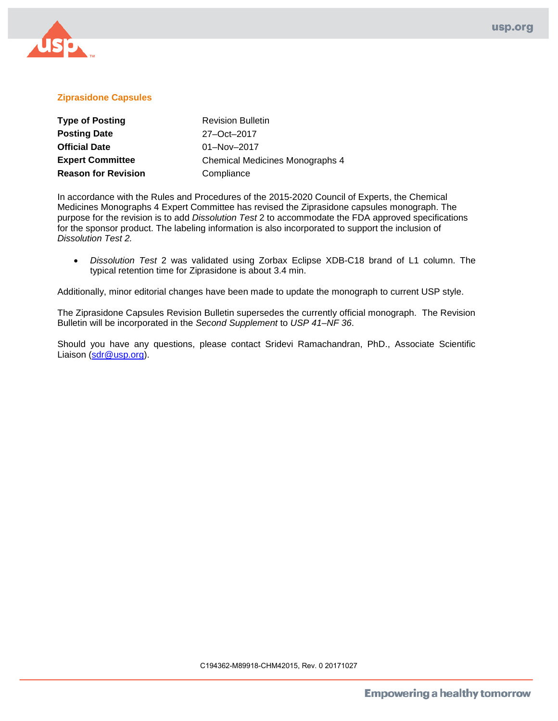

## **Ziprasidone Capsules**

| <b>Type of Posting</b>     | <b>Revision Bulletin</b>               |
|----------------------------|----------------------------------------|
| <b>Posting Date</b>        | 27-Oct-2017                            |
| <b>Official Date</b>       | $01 - Nov - 2017$                      |
| <b>Expert Committee</b>    | <b>Chemical Medicines Monographs 4</b> |
| <b>Reason for Revision</b> | Compliance                             |

In accordance with the Rules and Procedures of the 2015-2020 Council of Experts, the Chemical Medicines Monographs 4 Expert Committee has revised the Ziprasidone capsules monograph. The purpose for the revision is to add *Dissolution Test* 2 to accommodate the FDA approved specifications for the sponsor product. The labeling information is also incorporated to support the inclusion of *Dissolution Test 2.* 

• *Dissolution Test* 2 was validated using Zorbax Eclipse XDB-C18 brand of L1 column. The typical retention time for Ziprasidone is about 3.4 min.

Additionally, minor editorial changes have been made to update the monograph to current USP style.

The Ziprasidone Capsules Revision Bulletin supersedes the currently official monograph. The Revision Bulletin will be incorporated in the *Second Supplement* to *USP 41–NF 36*.

Should you have any questions, please contact Sridevi Ramachandran, PhD., Associate Scientific Liaison [\(sdr@usp.org\)](mailto:sdr@usp.org).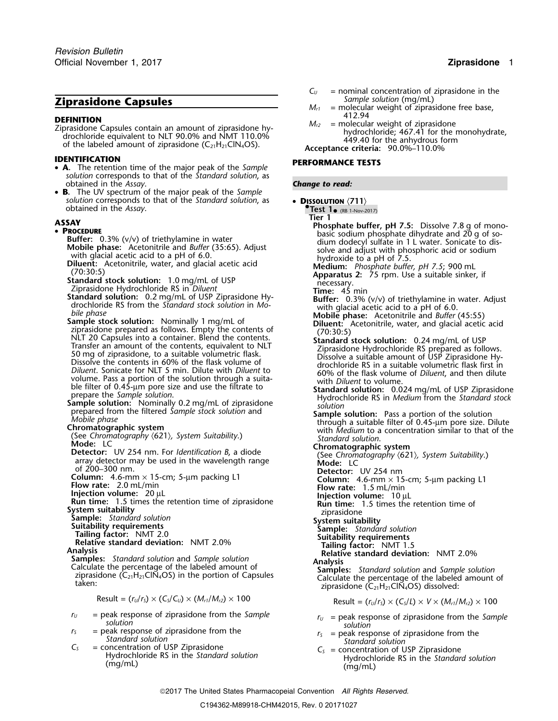# **Ziprasidone Capsules** *M<sub>a</sub>*

- **IDENTIFICATION PERFORMANCE TESTS** • **A.** The retention time of the major peak of the *Sample solution* corresponds to that of the *Standard solution*, as obtained in the *Assay*. *Change to read:*
- •**B.** The UV spectrum of the major peak of the *Sample* **solution** corresponds to that of the *Standard solution*, as • **DISSOLUTION**  $\langle 711 \rangle$  obtained in the *Assay*.

- 
- 
- 
- 
- **PROCEOUME**<br> **PROCEOUME**<br> **PROCEOUME**<br> **PROCEOUME**<br> **PROCEOUSE TO 1000** (16161) and *Butter* (1336, (V/v) of triethylamine in water<br>
Mothin glacial acetic and 10 *tf* 6.0.<br>
With glacial acetic and 10 *tf* 6.0.<br>
With gla
	-

- 
- 
- 
- 

- 
- 
- 
- 

$$
Result = (r_U/r_S) \times (C_S/C_U) \times (M_{r1}/M_{r2}) \times 100
$$

- 
- -

- $C_U$  = nominal concentration of ziprasidone in the Sample solution (mg/mL)
- = molecular weight of ziprasidone free base,<br>412.94
- **DEFINITION**<br>
Ziprasidone Capsules contain an amount of ziprasidone hy-<br>
drochloride; 467.41 for the monohydrate,<br>
of the labeled amount of ziprasidone (C<sub>21</sub>H<sub>21</sub>ClN<sub>4</sub>OS).<br>
of the labeled amount of ziprasidone (C<sub>21</sub>H<sub>2</sub>

Test  $1_{\bullet}$  (RB 1-Nov-2017)

**Tier 1**<br>**Phosphate buffer, pH 7.5:** Dissolve 7.8 g of mono-<br>**Phosphate buffer, pH 7.5:** Dissolve 7.8 g of mono-<br>Buffer: 0.3% (y/y) of triethylamine in water

- 
- 
- prepared from the filtered Sample stock solution and<br>
Mobile phase<br>
Chromatographic system<br>
Chromatographic system Suitability.)<br>
Chromatographic system Suitability.<br>
Chromatography (621), System Suitability.<br>
Mode: LC<br>
C

- 
- 
- 
- 

- 
- 
- 
- 

Result =  $(r_U/r_S) \times (C_S/L) \times V \times (M_{r1}/M_{r2}) \times 100$ 

- *r*<sub>*U*</sub> = peak response of ziprasidone from the *Sample*<br> *r*<sub>*U*</sub> = peak response of ziprasidone from the *solution*<br> *r*<sub>*s*</sub> = peak response of ziprasidone from the *solution*<br> *r*<sub>*s*</sub> = peak response of ziprasidone
	-
- $C_5$  = peak response of ziprasidone from the<br>
Standard solution<br>  $C_5$  = concentration of USP Ziprasidone<br>
Hydrochloride RS in the Standard solution<br>
(mg/mL)<br>
(mg/mL)<br>
(mg/mL)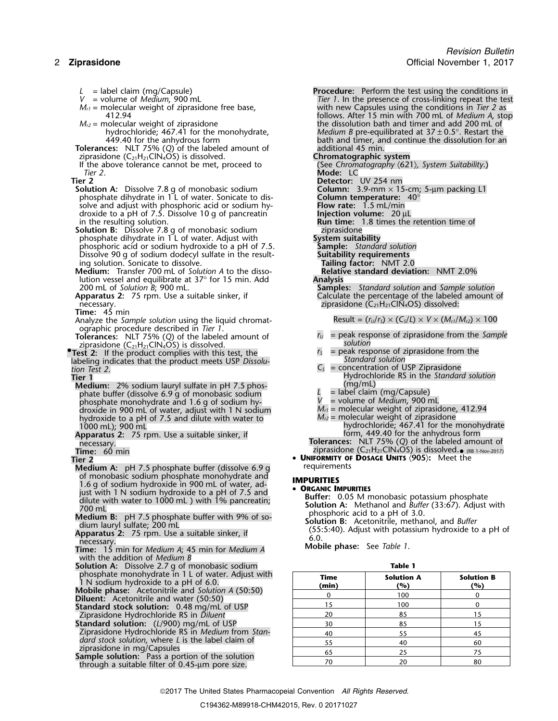- 
- 
- 
- $M_{\ell^2}$  = molecular weight of ziprasidone the the dissolution bath and timer and add 200 mL of
- **Tolerances:** NLT 75% (*Q*) of the labeled amount of additional 45 min.<br>
ziprasidone (C<sub>21</sub>H<sub>21</sub>ClN<sub>4</sub>OS) is dissolved. **Chromatographic system** ziprasidone  $(C_{21}H_{21}CIN_4OS)$  is dissolved.<br>If the above tolerance cannot be met, proceed to
- If the above tolerance cannot be met, proceed to (See *Chromatography*  $\langle 621 \rangle$ *, System Suitability.*)<br>Tier 2.
- 
- **Solution A:** Dissolve 7.8 g of monobasic sodium<br>
phosphate dihydrate in 1 L of water. Sonicate to dis-<br>
solve and adjust with phosphoric acid or sodium hy-<br> **Flow rate:** 1.5 mL/min phosphate dihydrate in 1<sup>'</sup>L of water. Sonicate to dissolve and adjust with phosphoric acid or sodium hy- **Flow rate:** 1.5 mL/min droxide to a pH of 7.5. Dissolve 10 g of pancreatin in the resulting solution.
- **Solution B:** Dissolve 7.8 g of monobasic sodium<br>
phosphate dihydrate in 1 L of water. Adjust with **System suitability** phosphate dihydrate in 1L of water. Adjust with **System suitability**<br>phosphoric acid or sodium hydroxide to a pH of 7.5. **Sample:** Standard solution phosphoric acid or sodium hydroxide to a pH of 7.5. **Sample:** *Standard solution* Dissolve 90 g of sodium dodecyl sulfate in the result- **Suitability requirements**
- **Medium:** Transfer 700 mL of *Solution A* to the dissolution vessel and equilibrate at 37° for 15 min. Add **Analysis**<br>200 mL of Solution B; 900 mL.
- **Apparatus 2:** 75 rpm. Use a suitable sinker, if Calculate the percentage of the labeled amount of necessary.
- **Time:** 45 min
- Analyze the *Sample solution* using the liquid chromat- Result =  $(r_U/r_S) \times (C_S/L) \times V \times (M_{r1}/M_{r2}) \times 100$ ographic procedure described in *Tier 1*.
- ziprasidone (C<sub>21</sub>H<sub>21</sub>ClN<sub>4</sub>OS) is dissolved. *•* 21 Solution
- **Test 2:** If the product complies with this test, the *r<sub>S</sub>* = peak response of ziprasidone from the labeling indicates that the product meets USP *Dissolu*-<br>labeling indicates that the product meets USP *Dissolu*labeling indicates that the product meets USP *Dissolu-*<br>tion Test 2.

- **Medium:** 2% sodium lauryl sulfate in pH 7.5 phos-<br>
phate buffer (dissolve 6.9 a of monobasic sodium  $\mu$  = label claim (mg/Capsule) phate buffer (dissolve 6.9 g of monobasic sodium **L** = label claim (mg/Capsule) <sup>p</sup>hosphate monohydrate and 1.6 g of sodium hy- *<sup>V</sup>* = volume of *Medium*, <sup>900</sup> mL phosphate monohydrate and 1.6 g of sodium hy-<br>droxide in 900 mL of water, adjust with 1 N sodium  $M_{r1}$  = molecular weight of ziprasidone, 412.94<br>hydroxide to a pH of 7.5 and dilute with water to  $M_{r2}$  = molecular weig hydroxide to a pH of 7.5 and dilute with water to *M*<sup>2</sup> = 1000 mL
- **Apparatus 2:** 75 rpm. Use a suitable sinker, if necessary.
- 

- **Medium A:** pH 7.5 phosphate buffer (dissolve 6.9 g) of monobasic sodium phosphate monohydrate and<br>1.6 g of sodium hydroxide in 900 mL of water, ad-<br>intervith 1.N sodium hydroxide to a pH of 7.5 and<br>**• ORGANIC IMPURITIES** just with 1 N sodium hydroxide to a pH of 7.5 and<br>dilute with water to 1000 mL ) with 1% pancreatin;<br>700 mL<br>delium B: pH 7.5 phosphate buffer with 9% of solution A: Methanol and *Buffer* (33:67). Adjust with<br>the phosphori
- 
- 
- with the addition of *Medium B*
- **Solution A:** Dissolve 2.7 g of monobasic sodium **Table 1**
- 
- 
- 
- **Standard solution:** (*L*/900) mg/mL of USP 15 15 15 16 16 16 16 16 16 16 16 16 17 17 17 17 17 17 17 17 17 17 17 Ziprasidone Hydrochloride RS in *Medium* from *Stan-* <sup>40</sup> <sup>55</sup> <sup>45</sup> *dard stock solution*, where *L* is the label claim of ziprasidone in mg/Capsules **Sample solution:** Pass a portion of the solution through a suitable filter of 0.45-µm pore size.
- 

*L* = label claim (mg/Capsule) **Procedure:** Perform the test using the conditions in **Procedure:** Perform the test using the conditions in *V* = volume of *Medium*, 900 mL *V* = volume of *Medium*, 900 mL<br>*M<sub>r1</sub>* = molecular weight of ziprasidone free base, with new Capsules using the conditions in *Tier 2* as molecular weight of ziprasidone free base, with new Capsules using the conditions in *Tier 2* as<br>follows. After 15 min with 700 mL of *Medium A*, sto 412.94 follows. After 15 min with 700 mL of *Medium A*, stop hydrochloride; 467.41 for the monohydrate, *Medium B* pre-equilibrated at 37 ± 0.5°. Restart the 449.40 for the anhydrous form **bath** and timer, and continue the dissolution for are bath and timer, and continue the dissolution for an additional 45 min.

- 
- *Tier 2*. **Mode:** LC **Tier 2 Detector:** UV 254 nm **Run time:** 1.8 times the retention time of ziprasidone ing solution. Sonicate to dissolve. **Tailing factor:** NMT 2.0 200 mL of *Solution B*; 900 mL. **Samples:** *Standard solution* and *Sample solution*

ziprasidone ( $C_{21}H_{21}C\tilde{N}_4OS$ ) dissolved:

- **Tolerances:** NLT 75% (*Q*) of the labeled amount of *<sup>r</sup><sup>U</sup>* = peak response of ziprasidone from the *Sample*
	-
- $=$  concentration of USP Ziprasidone **Tier 1** Hydrochloride RS in the *Standard solution*<br>Medium: 2% sodium lauryl sulfate in pH 7.5 phos-<br>Medium: 2% sodium lauryl sulfate in pH 7.5 phos-
	-
	-
	-
	- hydrochloride; 467.41 for the monohydrate<br>form, 449.40 for the anhydrous form
- necessary.<br>**Tolerances:** NLT 75% (*Q*) of the labeled amount of<br>**Time:** 60 min ziprasidone (C<sub>21</sub>H<sub>21</sub>ClN<sub>4</sub>OS) is dissolved.• (RB 1-Nov-2017)
- **Time:** 60 min<br>**Tier 2 UNIFORMITY OF DOSAGE UNITS** ∢905): Meet the<br>Medium A: pH 7.5 phosphate buffer (dissolve 6.9 α bequirements

- 
- 
- Medium B: pH 7.5 phosphate buffer with 9% of so<br>
dium lauryl sulfate; 200 mL<br>
Apparatus 2: 75 rpm. Use a suitable sinker, if (55:5:40). Adjust with potassium hydroxide to a pH of<br>
Time: 15 min for Medium A; 45 min for Medi

| phosphate monohydrate in 1 L of water. Adjust with<br>1 N sodium hydroxide to a pH of 6.0.            | Time<br>(min) | <b>Solution A</b><br>(%) | <b>Solution B</b><br>(%) |
|-------------------------------------------------------------------------------------------------------|---------------|--------------------------|--------------------------|
| <b>Mobile phase:</b> Acetonitrile and Solution A (50:50)                                              |               | 100                      |                          |
| <b>Diluent:</b> Acetonitrile and water (50:50)<br><b>Standard stock solution: 0.48 mg/mL of USP</b>   |               | 100                      |                          |
| Ziprasidone Hydrochloride RS in Diluent                                                               | 20            | 85                       |                          |
| <b>Standard solution:</b> (L/900) mg/mL of USP                                                        | 30            | 85                       |                          |
| Ziprasidone Hydrochloride RS in Medium from Stan-                                                     | 40            | 55                       |                          |
| dard stock solution, where L is the label claim of                                                    |               | 40                       | 60                       |
| ziprasidone in mg/Capsules                                                                            | 65            | 25                       |                          |
| Sample solution: Pass a portion of the solution<br>thus ush a suitable filter of $0.45$ una none size |               |                          |                          |

2017 The United States Pharmacopeial Convention *All Rights Reserved.*